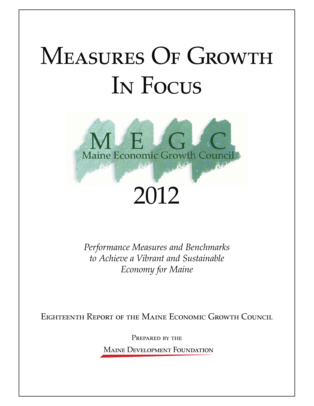# MEASURES OF GROWTH IN FOCUS



*Performance Measures and Benchmarks to Achieve a Vibrant and Sustainable Economy for Maine*

EIGHTEENTH REPORT OF THE MAINE ECONOMIC GROWTH COUNCIL

PREPARED BY THE **MAINE DEVELOPMENT FOUNDATION**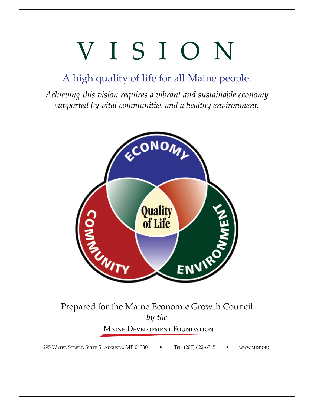# VISION

# A high quality of life for all Maine people.

*Achieving this vision requires a vibrant and sustainable economy supported by vital communities and a healthy environment.*



# Prepared for the Maine Economic Growth Council *by the* **MAINE DEVELOPMENT FOUNDATION**

295 WATER STREET, SUITE 5 AUGUSTA, ME 04330 TEL: (207) 622-6345 WWW.MDF.ORG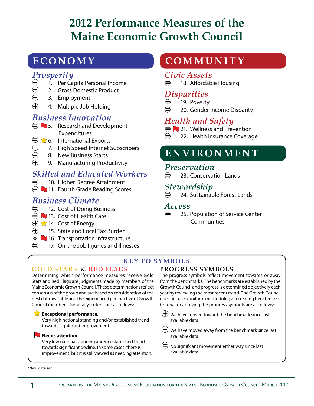# **2012 Performance Measures of the Maine Economic Growth Council**

# **ECONOMY**

# *Prosperity*

- $\Theta$  1. Per Capita Personal Income<br>  $\Theta$  2. Gross Domestic Product
- 2. Gross Domestic Product
- 3. Employment
- 4. Multiple Job Holding

# *Business Innovation*

- $\oplus$  5. Research and Development Expenditures
- $\oplus$   $\bigotimes$  6. International Exports
- ◯ 7. High Speed Internet Subscribers<br>◯ 8. New Business Starts<br>⊕ 9. Manufacturing Productivity
	- 8. New Business Starts
- 9. Manufacturing Productivity

# *Skilled and Educated Workers*

- 10. Higher Degree Attainment
- $\ominus$  11. Fourth Grade Reading Scores

# *Business Climate*

- $\bigoplus$  12. Cost of Doing Business
- $\bigoplus$  13. Cost of Health Care
- $\bigoplus$   $\bigotimes$  14. Cost of Energy
- 15. State and Local Tax Burden
- \* 16. Transportation Infrastructure<br>
and 17. On the Jak Injuries and Illnes
- 17. On-the-Job Injuries and Illnesses

# **GOLD STARS & RED FLAGS**

Determining which performance measures receive Gold Stars and Red Flags are judgments made by members of the Maine Economic Growth Council. These determinations reflect consensus of the group and are based on consideration of the best data available and the experienced perspective of Growth Council members. Generally, criteria are as follows:

#### **Exceptional performance.**

Very high national standing and/or established trend towards significant improvement.

#### **Needs attention.**

Very low national standing and/or established trend towards significant decline. In some cases, there is improvement, but it is still viewed as needing attention.

# **COMMUNITY**

## *Civic Assets*

18. Affordable Housing

# *Disparities*

- 19. Poverty
- $\bigoplus$  20. Gender Income Disparity

# *Health and Safety*

- **21. Wellness and Prevention**
- $\binom{2}{1}$  22. Health Insurance Coverage

# **ENVIRONMENT**

# *Preservation*

 $\implies$  23. Conservation Lands

# *Stewardship*

24. Sustainable Forest Lands

# *Access*

 $\oplus$  25. Population of Service Center **Communities** 

## **KEY TO SYMBOLS**

## **PROGRESS SYMBOLS**

The progress symbols reflect movement towards or away from the benchmarks. The benchmarks are established by the Growth Council and progress is determined objectively each year by reviewing the most recent trend. The Growth Council does not use a uniform methodology in creating benchmarks. Criteria for applying the progress symbols are as follows:

 $\left(\bigoplus_{n=1}^{\infty} X_n\right)$  We have moved toward the benchmark since last available data.

- $\bigcirc$  We have moved away from the benchmark since last available data.
- No significant movement either way since last available data.

\*New data set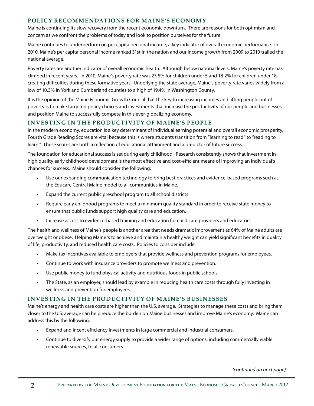#### **POLICY RECOMMENDATIONS FOR MAINE'S ECONOMY**

Maine is continuing its slow recovery from the recent economic downturn. There are reasons for both optimism and concern as we confront the problems of today and look to position ourselves for the future.

Maine continues to underperform on per capita personal income, a key indicator of overall economic performance. In 2010, Maine's per capita personal income ranked 31st in the nation and our income growth from 2009 to 2010 trailed the national average.

Poverty rates are another indicator of overall economic health. Although below national levels, Maine's poverty rate has climbed in recent years. In 2010, Maine's poverty rate was 23.5% for children under 5 and 18.2% for children under 18, creating difficulties during these formative years. Underlying the state average, Maine's poverty rate varies widely from a low of 10.3% in York and Cumberland counties to a high of 19.4% in Washington County.

It is the opinion of the Maine Economic Growth Council that the key to increasing incomes and lifting people out of poverty is to make targeted policy choices and investments that increase the productivity of our people and businesses and position Maine to successfully compete in this ever-globalizing economy.

#### **INVESTING IN THE PRODUCTIVITY OF MAINE'S PEOPLE**

In the modern economy, education is a key determinant of individual earning potential and overall economic prosperity. Fourth Grade Reading Scores are vital because this is where students transition from "learning to read" to "reading to learn." These scores are both a reflection of educational attainment and a predictor of future success.

The foundation for educational success is set during early childhood. Research consistently shows that investment in high quality early childhood development is the most effective and cost-efficient means of improving an individual's chances for success. Maine should consider the following:

- Use our expanding communication technology to bring best practices and evidence-based programs such as the Educare Central Maine model to all communities in Maine.
- . Expand the current public preschool program to all school districts.
- Require early childhood programs to meet a minimum quality standard in order to receive state money to ensure that public funds support high quality care and education.
- $\cdot$  Increase access to evidence-based training and education for child care providers and educators.

The health and wellness of Maine's people is another area that needs dramatic improvement as 64% of Maine adults are overweight or obese. Helping Mainers to achieve and maintain a healthy weight can yield significant benefits in quality of life, productivity, and reduced health care costs. Policies to consider include:

- Make tax incentives available to employers that provide wellness and prevention programs for employees.
- **EXECO** Continue to work with insurance providers to promote wellness and prevention.
- **Use public money to fund physical activity and nutritious foods in public schools.**
- The State, as an employer, should lead by example in reducing health care costs through fully investing in wellness and prevention for employees.

#### **INVESTING IN THE PRODUCTIVIT Y OF MAINE'S BUSINESSES**

Maine's energy and health care costs are higher than the U.S. average. Strategies to manage these costs and bring them closer to the U.S. average can help reduce the burden on Maine businesses and improve Maine's economy. Maine can address this by the following:

- **Expand and incent efficiency investments in large commercial and industrial consumers.**
- Continue to diversify our energy supply to provide a wider range of options, including commercially viable renewable sources, to all consumers.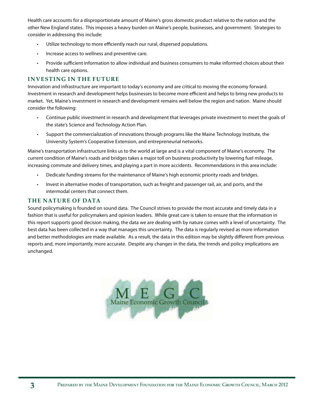Health care accounts for a disproportionate amount of Maine's gross domestic product relative to the nation and the other New England states. This imposes a heavy burden on Maine's people, businesses, and government. Strategies to consider in addressing this include:

- **•** Utilize technology to more efficiently reach our rural, dispersed populations.
- $\cdot$  Increase access to wellness and preventive care.
- Provide sufficient information to allow individual and business consumers to make informed choices about their health care options.

#### **INVESTING IN THE FUTURE**

Innovation and infrastructure are important to today's economy and are critical to moving the economy forward. Investment in research and development helps businesses to become more efficient and helps to bring new products to market. Yet, Maine's investment in research and development remains well below the region and nation. Maine should consider the following:

- . Continue public investment in research and development that leverages private investment to meet the goals of the state's Science and Technology Action Plan.
- **EXECT Support the commercialization of innovations through programs like the Maine Technology Institute, the** University System's Cooperative Extension, and entrepreneurial networks.

Maine's transportation infrastructure links us to the world at large and is a vital component of Maine's economy. The current condition of Maine's roads and bridges takes a major toll on business productivity by lowering fuel mileage, increasing commute and delivery times, and playing a part in more accidents. Recommendations in this area include:

- Dedicate funding streams for the maintenance of Maine's high economic priority roads and bridges.
- ightharport in alternative modes of transportation, such as freight and passenger rail, air, and ports, and the intermodal centers that connect them.

#### **THE NATURE OF DATA**

Sound policymaking is founded on sound data. The Council strives to provide the most accurate and timely data in a fashion that is useful for policymakers and opinion leaders. While great care is taken to ensure that the information in this report supports good decision making, the data we are dealing with by nature comes with a level of uncertainty. The best data has been collected in a way that manages this uncertainty. The data is regularly revised as more information and better methodologies are made available. As a result, the data in this edition may be slightly different from previous reports and, more importantly, more accurate. Despite any changes in the data, the trends and policy implications are unchanged.

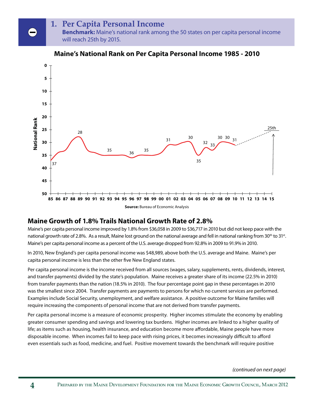# **1. Per Capita Personal Income**

**Benchmark:** Maine's national rank among the 50 states on per capita personal income will reach 25th by 2015.



#### **Maine's National Rank on Per Capita Personal Income 1985 - 2010**

## **Maine Growth of 1.8% Trails National Growth Rate of 2.8%**

Maine's per capita personal income improved by 1.8% from \$36,058 in 2009 to \$36,717 in 2010 but did not keep pace with the national growth rate of 2.8%. As a result, Maine lost ground on the national average and fell in national ranking from  $30^{th}$  to  $31^{st}$ . Maine's per capita personal income as a percent of the U.S. average dropped from 92.8% in 2009 to 91.9% in 2010.

In 2010, New England's per capita personal income was \$48,989, above both the U.S. average and Maine. Maine's per capita personal income is less than the other five New England states.

Per capita personal income is the income received from all sources (wages, salary, supplements, rents, dividends, interest, and transfer payments) divided by the state's population. Maine receives a greater share of its income (22.5% in 2010) from transfer payments than the nation (18.5% in 2010). The four percentage point gap in these percentages in 2010 was the smallest since 2004. Transfer payments are payments to persons for which no current services are performed. Examples include Social Security, unemployment, and welfare assistance. A positive outcome for Maine families will require increasing the components of personal income that are not derived from transfer payments.

Per capita personal income is a measure of economic prosperity. Higher incomes stimulate the economy by enabling greater consumer spending and savings and lowering tax burdens. Higher incomes are linked to a higher quality of life; as items such as housing, health insurance, and education become more affordable, Maine people have more disposable income. When incomes fail to keep pace with rising prices, it becomes increasingly difficult to afford even essentials such as food, medicine, and fuel. Positive movement towards the benchmark will require positive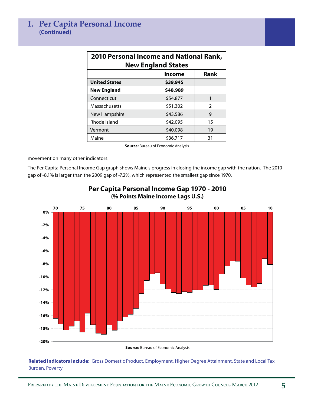| <b>2010 Personal Income and National Rank,</b><br><b>New England States</b> |          |    |  |  |  |  |
|-----------------------------------------------------------------------------|----------|----|--|--|--|--|
| <b>Rank</b><br><b>Income</b>                                                |          |    |  |  |  |  |
| <b>United States</b>                                                        | \$39,945 |    |  |  |  |  |
| <b>New England</b>                                                          | \$48,989 |    |  |  |  |  |
| Connecticut                                                                 | \$54,877 | 1  |  |  |  |  |
| Massachusetts                                                               | \$51,302 | 2  |  |  |  |  |
| New Hampshire                                                               | \$43,586 | 9  |  |  |  |  |
| Rhode Island                                                                | \$42,095 | 15 |  |  |  |  |
| Vermont                                                                     | \$40,098 | 19 |  |  |  |  |
| Maine                                                                       | \$36,717 | 31 |  |  |  |  |

**Source:** Bureau of Economic Analysis

movement on many other indicators.

The Per Capita Personal Income Gap graph shows Maine's progress in closing the income gap with the nation. The 2010 gap of -8.1% is larger than the 2009 gap of -7.2%, which represented the smallest gap since 1970.



#### **Per Capita Personal Income Gap 1970 - 2010 (% Points Maine Income Lags U.S.)**

**Source:** Bureau of Economic Analysis

**Related indicators include:** Gross Domestic Product, Employment, Higher Degree Attainment, State and Local Tax Burden, Poverty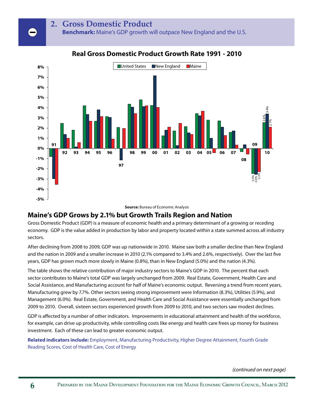#### **2. Gross Domestic Product**

**Benchmark:** Maine's GDP growth will outpace New England and the U.S.



#### **Real Gross Domestic Product Growth Rate 1991 - 2010**

**Source:** Bureau of Economic Analysis

#### **Maine's GDP Grows by 2.1% but Growth Trails Region and Nation**

Gross Domestic Product (GDP) is a measure of economic health and a primary determinant of a growing or receding economy. GDP is the value added in production by labor and property located within a state summed across all industry sectors.

After declining from 2008 to 2009, GDP was up nationwide in 2010. Maine saw both a smaller decline than New England and the nation in 2009 and a smaller increase in 2010 (2.1% compared to 3.4% and 2.6%, respectively). Over the last five years, GDP has grown much more slowly in Maine (0.8%), than in New England (5.0%) and the nation (4.3%).

The table shows the relative contribution of major industry sectors to Maine's GDP in 2010. The percent that each sector contributes to Maine's total GDP was largely unchanged from 2009. Real Estate, Government, Health Care and Social Assistance, and Manufacturing account for half of Maine's economic output. Reversing a trend from recent years, Manufacturing grew by 7.7%. Other sectors seeing strong improvement were Information (8.3%), Utilities (5.9%), and Management (6.0%). Real Estate, Government, and Health Care and Social Assistance were essentially unchanged from 2009 to 2010. Overall, sixteen sectors experienced growth from 2009 to 2010, and two sectors saw modest declines.

GDP is affected by a number of other indicators. Improvements in educational attainment and health of the workforce, for example, can drive up productivity, while controlling costs like energy and health care frees up money for business investment. Each of these can lead to greater economic output.

**Related indicators include:** Employment, Manufacturing Productivity, Higher Degree Attainment, Fourth Grade Reading Scores, Cost of Health Care, Cost of Energy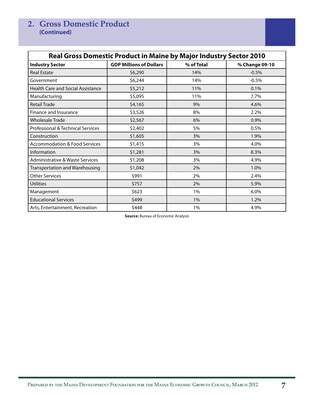| <b>Real Gross Domestic Product in Maine by Major Industry Sector 2010</b> |                                |            |                |  |  |  |
|---------------------------------------------------------------------------|--------------------------------|------------|----------------|--|--|--|
| <b>Industry Sector</b>                                                    | <b>GDP Millions of Dollars</b> | % of Total | % Change 09-10 |  |  |  |
| <b>Real Estate</b>                                                        | \$6,290                        | 14%        | $-0.5%$        |  |  |  |
| Government                                                                | \$6,244                        | 14%        | $-0.5%$        |  |  |  |
| <b>Health Care and Social Assistance</b>                                  | \$5,212                        | 11%        | 0.1%           |  |  |  |
| Manufacturing                                                             | \$5,095                        | 11%        | 7.7%           |  |  |  |
| <b>Retail Trade</b>                                                       | \$4,165                        | 9%         | 4.6%           |  |  |  |
| Finance and Insurance                                                     | \$3,526                        | 8%         | 2.2%           |  |  |  |
| <b>Wholesale Trade</b>                                                    | \$2,567                        | 6%         | 0.9%           |  |  |  |
| Professional & Technical Services                                         | \$2,402                        | 5%         | 0.5%           |  |  |  |
| Construction                                                              | \$1,605                        | 3%         | 1.9%           |  |  |  |
| <b>Accommodation &amp; Food Services</b>                                  | \$1,415                        | 3%         | 4.0%           |  |  |  |
| Information                                                               | \$1,281                        | 3%         | 8.3%           |  |  |  |
| <b>Administrative &amp; Waste Services</b>                                | \$1,208                        | 3%         | 4.9%           |  |  |  |
| Transportation and Warehousing                                            | \$1,042                        | 2%         | 1.0%           |  |  |  |
| <b>Other Services</b>                                                     | \$991                          | 2%         | 2.4%           |  |  |  |
| <b>Utilities</b>                                                          | \$757                          | 2%         | 5.9%           |  |  |  |
| Management                                                                | \$623                          | 1%         | 6.0%           |  |  |  |
| <b>Educational Services</b>                                               | \$499                          | 1%         | 1.2%           |  |  |  |
| Arts, Entertainment, Recreation                                           | \$448                          | 1%         | 4.9%           |  |  |  |

**Source:** Bureau of Economic Analysis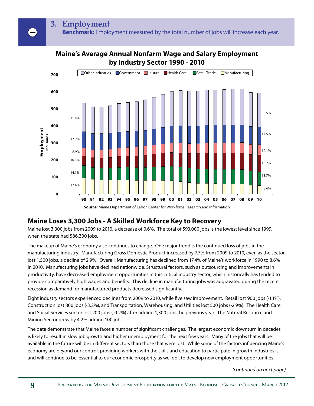#### **Maine's Average Annual Nonfarm Wage and Salary Employment by Industry Sector 1990 - 2010**



**Source:** Maine Department of Labor, Center for Workforce Research and Information

# **Maine Loses 3,300 Jobs - A Skilled Workforce Key to Recovery**

Maine lost 3,300 jobs from 2009 to 2010, a decrease of 0.6%. The total of 593,000 jobs is the lowest level since 1999, when the state had 586,300 jobs.

The makeup of Maine's economy also continues to change. One major trend is the continued loss of jobs in the manufacturing industry. Manufacturing Gross Domestic Product increased by 7.7% from 2009 to 2010, even as the sector lost 1,500 jobs, a decline of 2.9%. Overall, Manufacturing has declined from 17.4% of Maine's workforce in 1990 to 8.6% in 2010. Manufacturing jobs have declined nationwide. Structural factors, such as outsourcing and improvements in productivity, have decreased employment opportunities in this critical industry sector, which historically has tended to provide comparatively high wages and benefits. This decline in manufacturing jobs was aggravated during the recent recession as demand for manufactured products decreased significantly.

Eight industry sectors experienced declines from 2009 to 2010, while five saw improvement. Retail lost 900 jobs (-1.1%), Construction lost 800 jobs (-3.2%), and Transportation, Warehousing, and Utilities lost 500 jobs (-2.9%). The Health Care and Social Services sector lost 200 jobs (-0.2%) after adding 1,300 jobs the previous year. The Natural Resource and Mining Sector grew by 4.2% adding 100 jobs.

The data demonstrate that Maine faces a number of significant challenges. The largest economic downturn in decades is likely to result in slow job growth and higher unemployment for the next few years. Many of the jobs that will be available in the future will be in different sectors than those that were lost. While some of the factors influencing Maine's economy are beyond our control, providing workers with the skills and education to participate in growth industries is, and will continue to be, essential to our economic prosperity as we look to develop new employment opportunities.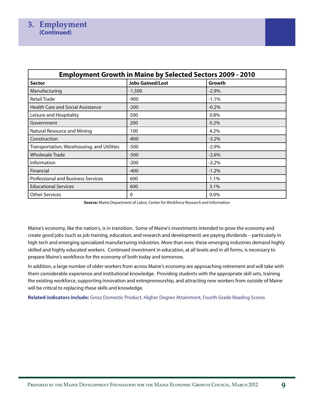#### **3. Employment (Continued)**

| <b>Employment Growth in Maine by Selected Sectors 2009 - 2010</b> |                         |          |  |  |  |  |
|-------------------------------------------------------------------|-------------------------|----------|--|--|--|--|
| <b>Sector</b>                                                     | <b>Jobs Gained/Lost</b> | Growth   |  |  |  |  |
| Manufacturing                                                     | $-1,500$                | $-2.9%$  |  |  |  |  |
| <b>Retail Trade</b>                                               | -900                    | $-1.1%$  |  |  |  |  |
| <b>Health Care and Social Assistance</b>                          | $-200$                  | $-0.2%$  |  |  |  |  |
| Leisure and Hospitality                                           | 500                     | 0.8%     |  |  |  |  |
| Government                                                        | 200                     | 0.2%     |  |  |  |  |
| Natural Resource and Mining                                       | 100                     | 4.2%     |  |  |  |  |
| Construction                                                      | $-800$                  | $-3.2%$  |  |  |  |  |
| Transportation, Warehousing, and Utilities                        | -500                    | $-2.9\%$ |  |  |  |  |
| Wholesale Trade                                                   | $-500$                  | $-2.6%$  |  |  |  |  |
| Information                                                       | $-200$                  | $-2.2%$  |  |  |  |  |
| Financial                                                         | -400                    | $-1.2%$  |  |  |  |  |
| <b>Professional and Business Services</b>                         | 600                     | 1.1%     |  |  |  |  |
| <b>Educational Services</b>                                       | 600                     | 3.1%     |  |  |  |  |
| <b>Other Services</b>                                             | 0                       | 0.0%     |  |  |  |  |

**Source:** Maine Department of Labor, Center for Workforce Research and Information

Maine's economy, like the nation's, is in transition. Some of Maine's investments intended to grow the economy and create good jobs (such as job training, education, and research and development) are paying dividends – particularly in high tech and emerging specialized manufacturing industries. More than ever, these emerging industries demand highly skilled and highly educated workers. Continued investment in education, at all levels and in all forms, is necessary to prepare Maine's workforce for the economy of both today and tomorrow.

In addition, a large number of older workers from across Maine's economy are approaching retirement and will take with them considerable experience and institutional knowledge. Providing students with the appropriate skill sets, training the existing workforce, supporting innovation and entrepreneurship, and attracting new workers from outside of Maine will be critical to replacing these skills and knowledge.

**Related indicators include:** Gross Domestic Product, Higher Degree Attainment, Fourth Grade Reading Scores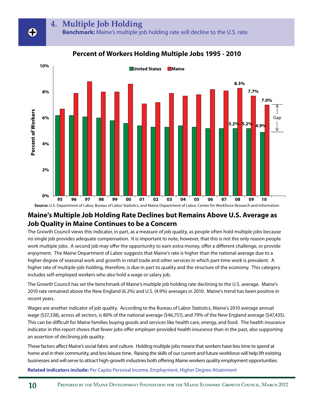## **4. Multiple Job Holding**

**Benchmark:** Maine's multiple job holding rate will decline to the U.S. rate.

**Percent of Workers Holding Multiple Jobs 1995 - 2010**



#### **Maine's Multiple Job Holding Rate Declines but Remains Above U.S. Average as Job Quality in Maine Continues to be a Concern**

The Growth Council views this indicator, in part, as a measure of job quality, as people often hold multiple jobs because no single job provides adequate compensation. It is important to note, however, that this is not the only reason people work multiple jobs. A second job may offer the opportunity to earn extra money, offer a different challenge, or provide enjoyment. The Maine Department of Labor suggests that Maine's rate is higher than the national average due to a higher degree of seasonal work and growth in retail trade and other services in which part-time work is prevalent. A higher rate of multiple-job-holding, therefore, is due in part to quality and the structure of the economy. This category includes self-employed workers who also hold a wage or salary job.

The Growth Council has set the benchmark of Maine's multiple job holding rate declining to the U.S. average. Maine's 2010 rate remained above the New England (6.2%) and U.S. (4.9%) averages in 2010. Maine's trend has been positive in recent years.

Wages are another indicator of job quality. According to the Bureau of Labor Statistics, Maine's 2010 average annual wage (\$37,338), across all sectors, is 80% of the national average (\$46,751), and 79% of the New England average (\$47,435). This can be difficult for Maine families buying goods and services like health care, energy, and food. The health insurance indicator in this report shows that fewer jobs offer employer-provided health insurance than in the past, also supporting an assertion of declining job quality.

These factors affect Maine's social fabric and culture. Holding multiple jobs means that workers have less time to spend at home and in their community, and less leisure time. Raising the skills of our current and future workforce will help lift existing businesses and will serve to attract high-growth industries both offering Maine workers quality employment opportunities.

**Related indicators include:** Per Capita Personal Income, Employment, Higher Degree Attainment

╋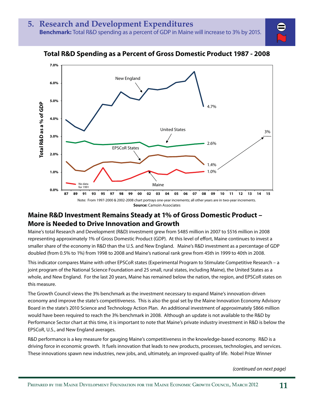

#### **Total R&D Spending as a Percent of Gross Domestic Product 1987 - 2008**

#### **Maine R&D Investment Remains Steady at 1% of Gross Domestic Product – More is Needed to Drive Innovation and Growth**

Maine's total Research and Development (R&D) investment grew from \$485 million in 2007 to \$516 million in 2008 representing approximately 1% of Gross Domestic Product (GDP). At this level of effort, Maine continues to invest a smaller share of the economy in R&D than the U.S. and New England. Maine's R&D investment as a percentage of GDP doubled (from 0.5% to 1%) from 1998 to 2008 and Maine's national rank grew from 45th in 1999 to 40th in 2008.

This indicator compares Maine with other EPSCoR states (Experimental Program to Stimulate Competitive Research – a joint program of the National Science Foundation and 25 small, rural states, including Maine), the United States as a whole, and New England. For the last 20 years, Maine has remained below the nation, the region, and EPSCoR states on this measure.

The Growth Council views the 3% benchmark as the investment necessary to expand Maine's innovation-driven economy and improve the state's competitiveness. This is also the goal set by the Maine Innovation Economy Advisory Board in the state's 2010 Science and Technology Action Plan. An additional investment of approximately \$866 million would have been required to reach the 3% benchmark in 2008. Although an update is not available to the R&D by Performance Sector chart at this time, it is important to note that Maine's private industry investment in R&D is below the EPSCoR, U.S., and New England averages.

R&D performance is a key measure for gauging Maine's competitiveness in the knowledge-based economy. R&D is a driving force in economic growth. It fuels innovation that leads to new products, processes, technologies, and services. These innovations spawn new industries, new jobs, and, ultimately, an improved quality of life. Nobel Prize Winner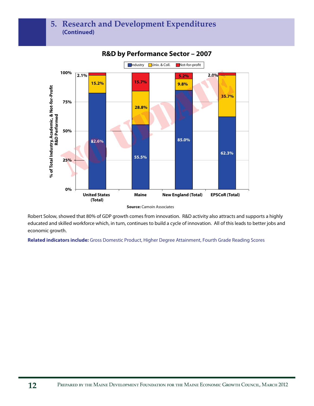## **5. Research and Development Expenditures (Continued)**



#### **R&D by Performance Sector – 2007**

Robert Solow, showed that 80% of GDP growth comes from innovation. R&D activity also attracts and supports a highly educated and skilled workforce which, in turn, continues to build a cycle of innovation. All of this leads to better jobs and economic growth.

**Related indicators include:** Gross Domestic Product, Higher Degree Attainment, Fourth Grade Reading Scores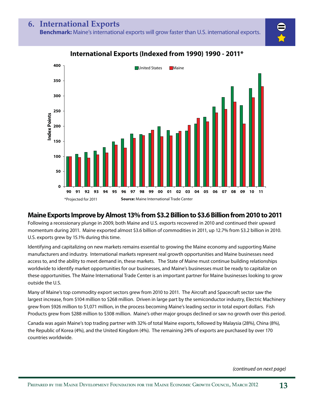

## **International Exports (Indexed from 1990) 1990 - 2011\***

# **Maine Exports Improve by Almost 13% from \$3.2 Billion to \$3.6 Billion from 2010 to 2011**

Following a recessionary plunge in 2009, both Maine and U.S. exports recovered in 2010 and continued their upward momentum during 2011. Maine exported almost \$3.6 billion of commodities in 2011, up 12.7% from \$3.2 billion in 2010. U.S. exports grew by 15.1% during this time.

Identifying and capitalizing on new markets remains essential to growing the Maine economy and supporting Maine manufacturers and industry. International markets represent real growth opportunities and Maine businesses need access to, and the ability to meet demand in, these markets. The State of Maine must continue building relationships worldwide to identify market opportunities for our businesses, and Maine's businesses must be ready to capitalize on these opportunities. The Maine International Trade Center is an important partner for Maine businesses looking to grow outside the U.S.

Many of Maine's top commodity export sectors grew from 2010 to 2011. The Aircraft and Spacecraft sector saw the largest increase, from \$104 million to \$268 million. Driven in large part by the semiconductor industry, Electric Machinery grew from \$926 million to \$1,071 million, in the process becoming Maine's leading sector in total export dollars. Fish Products grew from \$288 million to \$308 million. Maine's other major groups declined or saw no growth over this period.

Canada was again Maine's top trading partner with 32% of total Maine exports, followed by Malaysia (28%), China (8%), the Republic of Korea (4%), and the United Kingdom (4%). The remaining 24% of exports are purchased by over 170 countries worldwide.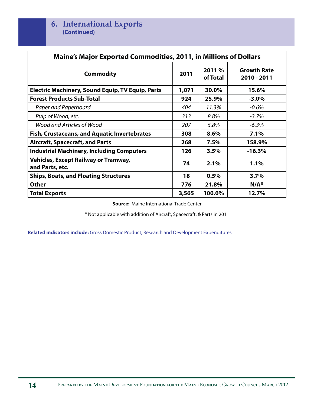| <b>Maine's Major Exported Commodities, 2011, in Millions of Dollars</b> |       |                    |                                   |  |  |
|-------------------------------------------------------------------------|-------|--------------------|-----------------------------------|--|--|
| <b>Commodity</b>                                                        | 2011  | 2011 %<br>of Total | <b>Growth Rate</b><br>2010 - 2011 |  |  |
| <b>Electric Machinery, Sound Equip, TV Equip, Parts</b>                 | 1,071 | 30.0%              | 15.6%                             |  |  |
| <b>Forest Products Sub-Total</b>                                        | 924   | 25.9%              | $-3.0%$                           |  |  |
| Paper and Paperboard                                                    | 404   | 11.3%              | $-0.6%$                           |  |  |
| Pulp of Wood, etc.                                                      | 313   | 8.8%               | $-3.7%$                           |  |  |
| Wood and Articles of Wood                                               | 207   | 5.8%               | $-6.3%$                           |  |  |
| Fish, Crustaceans, and Aquatic Invertebrates                            | 308   | 8.6%               | 7.1%                              |  |  |
| <b>Aircraft, Spacecraft, and Parts</b>                                  | 268   | 7.5%               | 158.9%                            |  |  |
| <b>Industrial Machinery, Including Computers</b>                        | 126   | 3.5%               | $-16.3%$                          |  |  |
| <b>Vehicles, Except Railway or Tramway,</b><br>and Parts, etc.          | 74    | 2.1%               | $1.1\%$                           |  |  |
| <b>Ships, Boats, and Floating Structures</b>                            | 18    | 0.5%               | 3.7%                              |  |  |
| <b>Other</b>                                                            | 776   | 21.8%              | $N/A^*$                           |  |  |
| <b>Total Exports</b>                                                    | 3,565 | 100.0%             | 12.7%                             |  |  |

**Source:** Maine International Trade Center

\* Not applicable with addition of Aircraft, Spacecraft, & Parts in 2011

**Related indicators include:** Gross Domestic Product, Research and Development Expenditures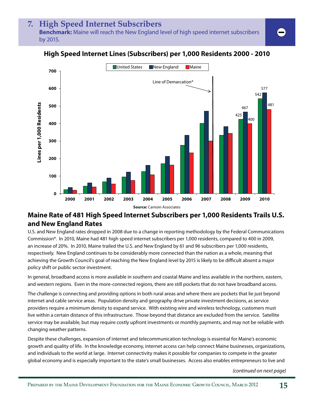#### **7. High Speed Internet Subscribers Benchmark:** Maine will reach the New England level of high speed internet subscribers

by 2015.



# **High Speed Internet Lines (Subscribers) per 1,000 Residents 2000 - 2010**

## **Maine Rate of 481 High Speed Internet Subscribers per 1,000 Residents Trails U.S. and New England Rates**

U.S. and New England rates dropped in 2008 due to a change in reporting methodology by the Federal Communications Commission\*. In 2010, Maine had 481 high speed internet subscribers per 1,000 residents, compared to 400 in 2009, an increase of 20%. In 2010, Maine trailed the U.S. and New England by 61 and 96 subscribers per 1,000 residents, respectively. New England continues to be considerably more connected than the nation as a whole, meaning that achieving the Growth Council's goal of reaching the New England level by 2015 is likely to be difficult absent a major policy shift or public sector investment.

In general, broadband access is more available in southern and coastal Maine and less available in the northern, eastern, and western regions. Even in the more-connected regions, there are still pockets that do not have broadband access.

The challenge is connecting and providing options in both rural areas and where there are pockets that lie just beyond internet and cable service areas. Population density and geography drive private investment decisions, as service providers require a minimum density to expand service. With existing wire and wireless technology, customers must live within a certain distance of this infrastructure. Those beyond that distance are excluded from the service. Satellite service may be available, but may require costly upfront investments or monthly payments, and may not be reliable with changing weather patterns.

Despite these challenges, expansion of internet and telecommunication technology is essential for Maine's economic growth and quality of life. In the knowledge economy, internet access can help connect Maine businesses, organizations, and individuals to the world at large. Internet connectivity makes it possible for companies to compete in the greater global economy and is especially important to the state's small businesses. Access also enables entrepreneurs to live and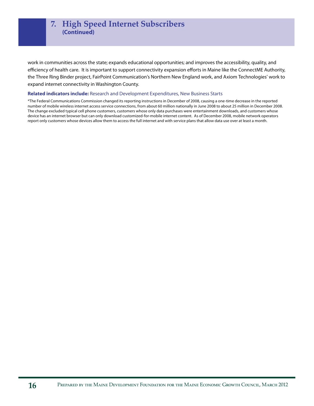work in communities across the state; expands educational opportunities; and improves the accessibility, quality, and efficiency of health care. It is important to support connectivity expansion efforts in Maine like the ConnectME Authority, the Three Ring Binder project, FairPoint Communication's Northern New England work, and Axiom Technologies' work to expand internet connectivity in Washington County.

#### **Related indicators include:** Research and Development Expenditures, New Business Starts

\*The Federal Communications Commission changed its reporting instructions in December of 2008, causing a one-time decrease in the reported number of mobile wireless internet access service connections, from about 60 million nationally in June 2008 to about 25 million in December 2008. The change excluded typical cell phone customers, customers whose only data purchases were entertainment downloads, and customers whose device has an internet browser but can only download customized-for-mobile internet content. As of December 2008, mobile network operators report only customers whose devices allow them to access the full internet and with service plans that allow data use over at least a month.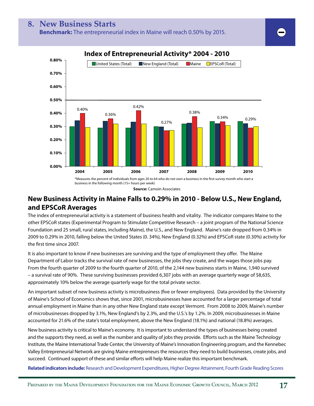



#### **New Business Activity in Maine Falls to 0.29% in 2010 - Below U.S., New England, and EPSCoR Averages**

The index of entrepreneurial activity is a statement of business health and vitality. The indicator compares Maine to the other EPSCoR states (Experimental Program to Stimulate Competitive Research – a joint program of the National Science Foundation and 25 small, rural states, including Maine), the U.S., and New England. Maine's rate dropped from 0.34% in 2009 to 0.29% in 2010, falling below the United States (0. 34%), New England (0.32%) and EPSCoR state (0.30%) activity for the first time since 2007.

It is also important to know if new businesses are surviving and the type of employment they offer. The Maine Department of Labor tracks the survival rate of new businesses, the jobs they create, and the wages those jobs pay. From the fourth quarter of 2009 to the fourth quarter of 2010, of the 2,144 new business starts in Maine, 1,940 survived – a survival rate of 90%. These surviving businesses provided 6,307 jobs with an average quarterly wage of \$8,635, approximately 10% below the average quarterly wage for the total private sector.

An important subset of new business activity is microbusiness (five or fewer employees). Data provided by the University of Maine's School of Economics shows that, since 2001, microbusinesses have accounted for a larger percentage of total annual employment in Maine than in any other New England state except Vermont. From 2008 to 2009, Maine's number of microbusinesses dropped by 3.1%, New England's by 2.3%, and the U.S.'s by 1.2%. In 2009, microbusinesses in Maine accounted for 21.6% of the state's total employment, above the New England (18.1%) and national (18.8%) averages.

New business activity is critical to Maine's economy. It is important to understand the types of businesses being created and the supports they need, as well as the number and quality of jobs they provide. Efforts such as the Maine Technology Institute, the Maine International Trade Center, the University of Maine's Innovation Engineering program, and the Kennebec Valley Entrepreneurial Network are giving Maine entrepreneurs the resources they need to build businesses, create jobs, and succeed. Continued support of these and similar efforts will help Maine realize this important benchmark.

**Related indicators include:** Research and Development Expenditures, Higher Degree Attainment, Fourth Grade Reading Scores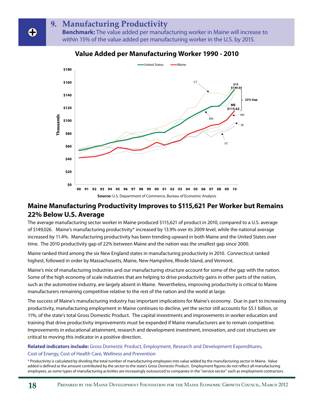# **9. Manufacturing Productivity**

**Benchmark:** The value added per manufacturing worker in Maine will increase to within 15% of the value added per manufacturing worker in the U.S. by 2015.



#### **Value Added per Manufacturing Worker 1990 - 2010**

#### **Maine Manufacturing Productivity Improves to \$115,621 Per Worker but Remains 22% Below U.S. Average**

The average manufacturing sector worker in Maine produced \$115,621 of product in 2010, compared to a U.S. average of \$149,026. Maine's manufacturing productivity\* increased by 13.9% over its 2009 level, while the national average increased by 11.4%. Manufacturing productivity has been trending upward in both Maine and the United States over time. The 2010 productivity gap of 22% between Maine and the nation was the smallest gap since 2000.

Maine ranked third among the six New England states in manufacturing productivity in 2010. Connecticut ranked highest, followed in order by Massachusetts, Maine, New Hampshire, Rhode Island, and Vermont.

Maine's mix of manufacturing industries and our manufacturing structure account for some of the gap with the nation. Some of the high economy of scale industries that are helping to drive productivity gains in other parts of the nation, such as the automotive industry, are largely absent in Maine. Nevertheless, improving productivity is critical to Maine manufacturers remaining competitive relative to the rest of the nation and the world at large.

The success of Maine's manufacturing industry has important implications for Maine's economy. Due in part to increasing productivity, manufacturing employment in Maine continues to decline, yet the sector still accounts for \$5.1 billion, or 11%, of the state's total Gross Domestic Product. The capital investments and improvements in worker education and training that drive productivity improvements must be expanded if Maine manufacturers are to remain competitive. Improvements in educational attainment, research and development investment, innovation, and cost structures are critical to moving this indicator in a positive direction.

#### **Related indicators include:** Gross Domestic Product, Employment, Research and Development Expenditures, Cost of Energy, Cost of Health Care, Wellness and Prevention

\* Productivity is calculated by dividing the total number of manufacturing employees into value added by the manufacturing sector in Maine. Value added is defined as the amount contributed by the sector to the state's Gross Domestic Product. Employment figures do not reflect all manufacturing employees, as some types of manufacturing activities are increasingly outsourced to companies in the "service sector" such as employment contractors.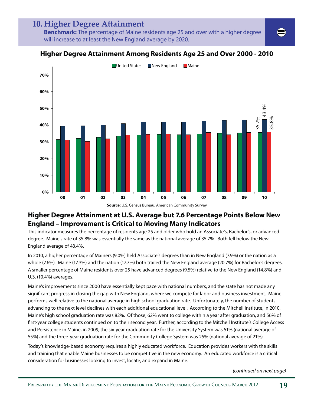# 10. Higher Degree Attainment

**Benchmark:** The percentage of Maine residents age 25 and over with a higher degree will increase to at least the New England average by 2020.



#### **Higher Degree Attainment Among Residents Age 25 and Over 2000 - 2010**

**Source:** U.S. Census Bureau, American Community Survey

#### **Higher Degree Attainment at U.S. Average but 7.6 Percentage Points Below New England – Improvement is Critical to Moving Many Indicators**

This indicator measures the percentage of residents age 25 and older who hold an Associate's, Bachelor's, or advanced degree. Maine's rate of 35.8% was essentially the same as the national average of 35.7%. Both fell below the New England average of 43.4%.

In 2010, a higher percentage of Mainers (9.0%) held Associate's degrees than in New England (7.9%) or the nation as a whole (7.6%). Maine (17.3%) and the nation (17.7%) both trailed the New England average (20.7%) for Bachelor's degrees. A smaller percentage of Maine residents over 25 have advanced degrees (9.5%) relative to the New England (14.8%) and U.S. (10.4%) averages.

Maine's improvements since 2000 have essentially kept pace with national numbers, and the state has not made any significant progress in closing the gap with New England, where we compete for labor and business investment. Maine performs well relative to the national average in high school graduation rate. Unfortunately, the number of students advancing to the next level declines with each additional educational level. According to the Mitchell Institute, in 2010, Maine's high school graduation rate was 82%. Of those, 62% went to college within a year after graduation, and 56% of first-year college students continued on to their second year. Further, according to the Mitchell Institute's College Access and Persistence in Maine, in 2009, the six-year graduation rate for the University System was 51% (national average of 55%) and the three-year graduation rate for the Community College System was 25% (national average of 21%).

Today's knowledge-based economy requires a highly educated workforce. Education provides workers with the skills and training that enable Maine businesses to be competitive in the new economy. An educated workforce is a critical consideration for businesses looking to invest, locate, and expand in Maine.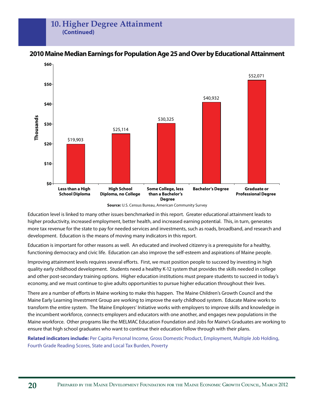#### 10. Higher Degree Attainment **(Continued)**



#### **2010 Maine Median Earnings for Population Age 25 and Over by Educational Attainment**

**Source:** U.S. Census Bureau, American Community Survey

Education level is linked to many other issues benchmarked in this report. Greater educational attainment leads to higher productivity, increased employment, better health, and increased earning potential. This, in turn, generates more tax revenue for the state to pay for needed services and investments, such as roads, broadband, and research and development. Education is the means of moving many indicators in this report.

Education is important for other reasons as well. An educated and involved citizenry is a prerequisite for a healthy, functioning democracy and civic life. Education can also improve the self-esteem and aspirations of Maine people.

Improving attainment levels requires several efforts. First, we must position people to succeed by investing in high quality early childhood development. Students need a healthy K-12 system that provides the skills needed in college and other post-secondary training options. Higher education institutions must prepare students to succeed in today's economy, and we must continue to give adults opportunities to pursue higher education throughout their lives.

There are a number of efforts in Maine working to make this happen. The Maine Children's Growth Council and the Maine Early Learning Investment Group are working to improve the early childhood system. Educate Maine works to transform the entire system. The Maine Employers' Initiative works with employers to improve skills and knowledge in the incumbent workforce, connects employers and educators with one another, and engages new populations in the Maine workforce. Other programs like the MELMAC Education Foundation and Jobs for Maine's Graduates are working to ensure that high school graduates who want to continue their education follow through with their plans.

**Related indicators include:** Per Capita Personal Income, Gross Domestic Product, Employment, Multiple Job Holding, Fourth Grade Reading Scores, State and Local Tax Burden, Poverty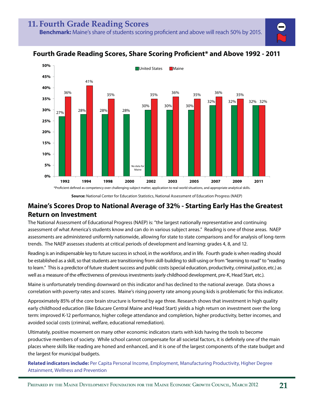#### **Fourth Grade Reading Scores, Share Scoring Proficient\* and Above 1992 - 2011**



**Source:** National Center for Education Statistics, National Assessment of Education Progress (NAEP)

#### **Maine's Scores Drop to National Average of 32% - Starting Early Has the Greatest Return on Investment**

The National Assessment of Educational Progress (NAEP) is: "the largest nationally representative and continuing assessment of what America's students know and can do in various subject areas." Reading is one of those areas. NAEP assessments are administered uniformly nationwide, allowing for state to state comparisons and for analysis of long-term trends. The NAEP assesses students at critical periods of development and learning: grades 4, 8, and 12.

Reading is an indispensable key to future success in school, in the workforce, and in life. Fourth grade is when reading should be established as a skill, so that students are transitioning from skill-building to skill-using or from "learning to read" to "reading to learn." This is a predictor of future student success and public costs (special education, productivity, criminal justice, etc.) as well as a measure of the effectiveness of previous investments (early childhood development, pre-K, Head Start, etc.).

Maine is unfortunately trending downward on this indicator and has declined to the national average. Data shows a correlation with poverty rates and scores. Maine's rising poverty rate among young kids is problematic for this indicator.

Approximately 85% of the core brain structure is formed by age three. Research shows that investment in high quality early childhood education (like Educare Central Maine and Head Start) yields a high return on investment over the long term: improved K-12 performance, higher college attendance and completion, higher productivity, better incomes, and avoided social costs (criminal, welfare, educational remediation).

Ultimately, positive movement on many other economic indicators starts with kids having the tools to become productive members of society. While school cannot compensate for all societal factors, it is definitely one of the main places where skills like reading are honed and enhanced, and it is one of the largest components of the state budget and the largest for municipal budgets.

**Related indicators include:** Per Capita Personal Income, Employment, Manufacturing Productivity, Higher Degree Attainment, Wellness and Prevention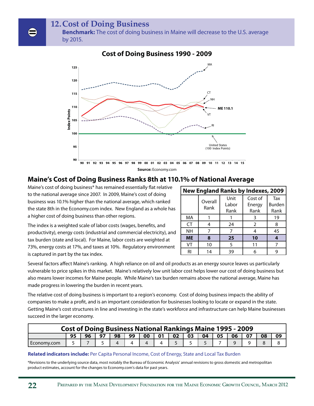**12. Cost of Doing Business**

**Benchmark:** The cost of doing business in Maine will decrease to the U.S. average by 2015.



#### **Cost of Doing Business 1990 - 2009**

#### **Maine's Cost of Doing Business Ranks 8th at 110.1% of National Average**

Maine's cost of doing business\* has remained essentially flat relative to the national average since 2007. In 2009, Maine's cost of doing business was 10.1% higher than the national average, which ranked the state 8th in the Economy.com index. New England as a whole has a higher cost of doing business than other regions.

| <b>New England Ranks by Indexes, 2009</b> |         |       |               |               |  |  |  |
|-------------------------------------------|---------|-------|---------------|---------------|--|--|--|
|                                           | Overall | Unit  | Cost of       | Tax           |  |  |  |
|                                           | Rank    | Labor | Energy        | <b>Burden</b> |  |  |  |
|                                           |         | Rank  | Rank          | Rank          |  |  |  |
| МA                                        |         |       | 3             | 19            |  |  |  |
| <b>CT</b>                                 | 4       | 24    | $\mathcal{P}$ | 8             |  |  |  |
| NΗ                                        |         |       |               | 45            |  |  |  |
| <b>ME</b>                                 | 8       | 25    | 10            |               |  |  |  |
| VT                                        | 10      | 5     | 11            |               |  |  |  |
| RI                                        | 14      | 39    |               |               |  |  |  |

The index is a weighted scale of labor costs (wages, benefits, and productivity), energy costs (industrial and commercial electricity), and tax burden (state and local). For Maine, labor costs are weighted at 73%, energy costs at 17%, and taxes at 10%. Regulatory environment is captured in part by the tax index.

Several factors affect Maine's ranking. A high reliance on oil and oil products as an energy source leaves us particularly vulnerable to price spikes in this market. Maine's relatively low unit labor cost helps lower our cost of doing business but also means lower incomes for Maine people. While Maine's tax burden remains above the national average, Maine has made progress in lowering the burden in recent years.

The relative cost of doing business is important to a region's economy. Cost of doing business impacts the ability of companies to make a profit, and is an important consideration for businesses looking to locate or expand in the state. Getting Maine's cost structures in line and investing in the state's workforce and infrastructure can help Maine businesses succeed in the larger economy.

| <b>Cost of Doing Business National Rankings Maine 1995 - 2009</b> |  |    |    |    |    |    |    |                 |    |    |    |    |    |    |  |
|-------------------------------------------------------------------|--|----|----|----|----|----|----|-----------------|----|----|----|----|----|----|--|
|                                                                   |  | 96 | 97 | 98 | 99 | 00 | 01 | 02 <sup>7</sup> | 03 | 04 | 05 | 06 | 07 | 08 |  |
| Economy.com                                                       |  |    |    |    |    |    |    |                 |    |    |    |    |    |    |  |

#### **Related indicators include:** Per Capita Personal Income, Cost of Energy, State and Local Tax Burden

\*Revisions to the underlying source data, most notably the Bureau of Economic Analysis' annual revisions to gross domestic and metropolitan product estimates, account for the changes to Economy.com's data for past years.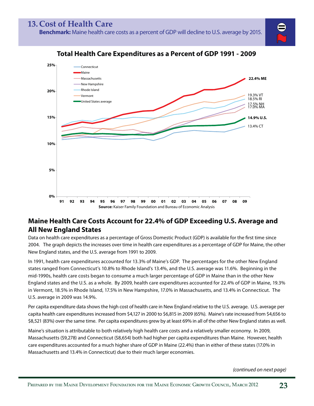**Benchmark:** Maine health care costs as a percent of GDP will decline to U.S. average by 2015.



#### **Total Health Care Expenditures as a Percent of GDP 1991 - 2009**

**Source:** Kaiser Family Foundation and Bureau of Economic Analysis **91 92 93 94 95 96 97 98 99 00 01 02 03 04 05 06 07 08 09** 

## **Maine Health Care Costs Account for 22.4% of GDP Exceeding U.S. Average and All New England States**

Data on health care expenditures as a percentage of Gross Domestic Product (GDP) is available for the first time since 2004. The graph depicts the increases over time in health care expenditures as a percentage of GDP for Maine, the other New England states, and the U.S. average from 1991 to 2009.

In 1991, health care expenditures accounted for 13.3% of Maine's GDP. The percentages for the other New England states ranged from Connecticut's 10.8% to Rhode Island's 13.4%, and the U.S. average was 11.6%. Beginning in the mid-1990s, health care costs began to consume a much larger percentage of GDP in Maine than in the other New England states and the U.S. as a whole. By 2009, health care expenditures accounted for 22.4% of GDP in Maine, 19.3% in Vermont, 18.5% in Rhode Island, 17.5% in New Hampshire, 17.0% in Massachusetts, and 13.4% in Connecticut. The U.S. average in 2009 was 14.9%.

Per capita expenditure data shows the high cost of health care in New England relative to the U.S. average. U.S. average per capita health care expenditures increased from \$4,127 in 2000 to \$6,815 in 2009 (65%). Maine's rate increased from \$4,656 to \$8,521 (83%) over the same time. Per capita expenditures grew by at least 69% in all of the other New England states as well.

Maine's situation is attributable to both relatively high health care costs and a relatively smaller economy. In 2009, Massachusetts (\$9,278) and Connecticut (\$8,654) both had higher per capita expenditures than Maine. However, health care expenditures accounted for a much higher share of GDP in Maine (22.4%) than in either of these states (17.0% in Massachusetts and 13.4% in Connecticut) due to their much larger economies.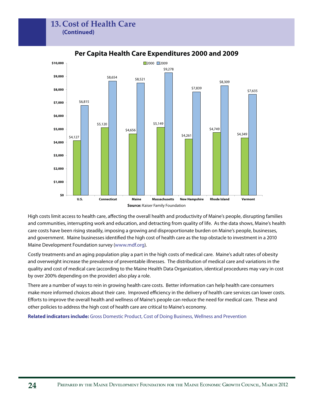#### **13. Cost of Health Care (Continued)**



#### **Per Capita Health Care Expenditures 2000 and 2009**

High costs limit access to health care, affecting the overall health and productivity of Maine's people, disrupting families and communities, interrupting work and education, and detracting from quality of life. As the data shows, Maine's health care costs have been rising steadily, imposing a growing and disproportionate burden on Maine's people, businesses, and government. Maine businesses identified the high cost of health care as the top obstacle to investment in a 2010 Maine Development Foundation survey (www.mdf.org).

Costly treatments and an aging population play a part in the high costs of medical care. Maine's adult rates of obesity and overweight increase the prevalence of preventable illnesses. The distribution of medical care and variations in the quality and cost of medical care (according to the Maine Health Data Organization, identical procedures may vary in cost by over 200% depending on the provider) also play a role.

There are a number of ways to rein in growing health care costs. Better information can help health care consumers make more informed choices about their care. Improved efficiency in the delivery of health care services can lower costs. Efforts to improve the overall health and wellness of Maine's people can reduce the need for medical care. These and other policies to address the high cost of health care are critical to Maine's economy.

**Related indicators include:** Gross Domestic Product, Cost of Doing Business, Wellness and Prevention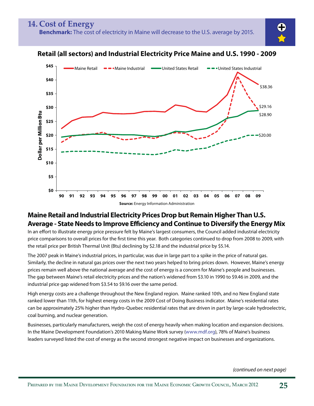



#### **Retail (all sectors) and Industrial Electricity Price Maine and U.S. 1990 - 2009**

**Source:** Energy Information Administration

#### **Maine Retail and Industrial Electricity Prices Drop but Remain Higher Than U.S. Average - State Needs to Improve Efficiency and Continue to Diversify the Energy Mix**

In an effort to illustrate energy price pressure felt by Maine's largest consumers, the Council added industrial electricity price comparisons to overall prices for the first time this year. Both categories continued to drop from 2008 to 2009, with the retail price per British Thermal Unit (Btu) declining by \$2.18 and the industrial price by \$5.14.

The 2007 peak in Maine's industrial prices, in particular, was due in large part to a spike in the price of natural gas. Similarly, the decline in natural gas prices over the next two years helped to bring prices down. However, Maine's energy prices remain well above the national average and the cost of energy is a concern for Maine's people and businesses. The gap between Maine's retail electricity prices and the nation's widened from \$3.10 in 1990 to \$9.46 in 2009, and the industrial price gap widened from \$3.54 to \$9.16 over the same period.

High energy costs are a challenge throughout the New England region. Maine ranked 10th, and no New England state ranked lower than 11th, for highest energy costs in the 2009 Cost of Doing Business indicator. Maine's residential rates can be approximately 25% higher than Hydro-Quebec residential rates that are driven in part by large-scale hydroelectric, coal burning, and nuclear generation.

Businesses, particularly manufacturers, weigh the cost of energy heavily when making location and expansion decisions. In the Maine Development Foundation's 2010 Making Maine Work survey (www.mdf.org), 78% of Maine's business leaders surveyed listed the cost of energy as the second strongest negative impact on businesses and organizations.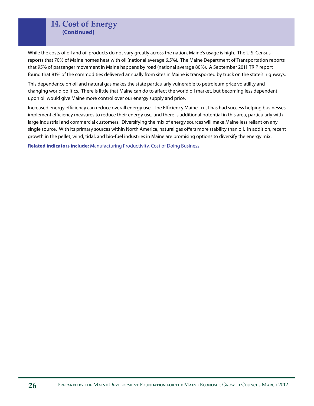#### **14. Cost of Energy (Continued)**

While the costs of oil and oil products do not vary greatly across the nation, Maine's usage is high. The U.S. Census reports that 70% of Maine homes heat with oil (national average 6.5%). The Maine Department of Transportation reports that 95% of passenger movement in Maine happens by road (national average 80%). A September 2011 TRIP report found that 81% of the commodities delivered annually from sites in Maine is transported by truck on the state's highways.

This dependence on oil and natural gas makes the state particularly vulnerable to petroleum price volatility and changing world politics. There is little that Maine can do to affect the world oil market, but becoming less dependent upon oil would give Maine more control over our energy supply and price.

Increased energy efficiency can reduce overall energy use. The Efficiency Maine Trust has had success helping businesses implement efficiency measures to reduce their energy use, and there is additional potential in this area, particularly with large industrial and commercial customers. Diversifying the mix of energy sources will make Maine less reliant on any single source. With its primary sources within North America, natural gas offers more stability than oil. In addition, recent growth in the pellet, wind, tidal, and bio-fuel industries in Maine are promising options to diversify the energy mix.

**Related indicators include:** Manufacturing Productivity, Cost of Doing Business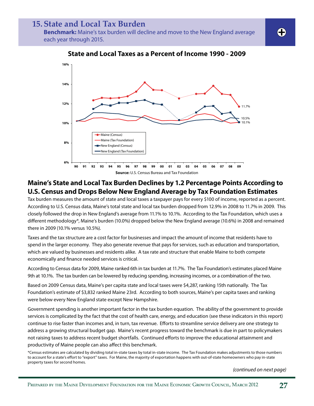## **15. State and Local Tax Burden**

**Benchmark:** Maine's tax burden will decline and move to the New England average each year through 2015.



**State and Local Taxes as a Percent of Income 1990 - 2009**

#### **Maine's State and Local Tax Burden Declines by 1.2 Percentage Points According to U.S. Census and Drops Below New England Average by Tax Foundation Estimates**

Tax burden measures the amount of state and local taxes a taxpayer pays for every \$100 of income, reported as a percent. According to U.S. Census data, Maine's total state and local tax burden dropped from 12.9% in 2008 to 11.7% in 2009. This closely followed the drop in New England's average from 11.1% to 10.1%. According to the Tax Foundation, which uses a different methodology\*, Maine's burden (10.0%) dropped below the New England average (10.6%) in 2008 and remained there in 2009 (10.1% versus 10.5%).

Taxes and the tax structure are a cost factor for businesses and impact the amount of income that residents have to spend in the larger economy. They also generate revenue that pays for services, such as education and transportation, which are valued by businesses and residents alike. A tax rate and structure that enable Maine to both compete economically and finance needed services is critical.

According to Census data for 2009, Maine ranked 6th in tax burden at 11.7%. The Tax Foundation's estimates placed Maine 9th at 10.1%. The tax burden can be lowered by reducing spending, increasing incomes, or a combination of the two.

Based on 2009 Census data, Maine's per capita state and local taxes were \$4,287, ranking 15th nationally. The Tax Foundation's estimate of \$3,832 ranked Maine 23rd. According to both sources, Maine's per capita taxes and ranking were below every New England state except New Hampshire.

Government spending is another important factor in the tax burden equation. The ability of the government to provide services is complicated by the fact that the cost of health care, energy, and education (see these indicators in this report) continue to rise faster than incomes and, in turn, tax revenue. Efforts to streamline service delivery are one strategy to address a growing structural budget gap. Maine's recent progress toward the benchmark is due in part to policymakers not raising taxes to address recent budget shortfalls. Continued efforts to improve the educational attainment and productivity of Maine people can also affect this benchmark.

\*Census estimates are calculated by dividing total in-state taxes by total in-state income. The Tax Foundation makes adjustments to those numbers to account for a state's effort to "export" taxes. For Maine, the majority of exportation happens with out-of-state homeowners who pay in-state property taxes for second homes.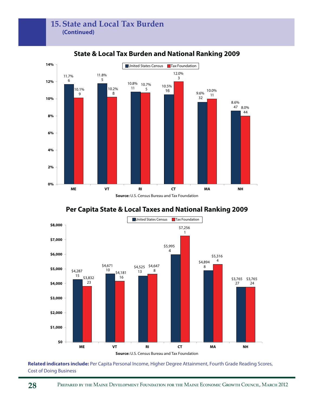

**State & Local Tax Burden and National Ranking 2009**





**Related indicators include:** Per Capita Personal Income, Higher Degree Attainment, Fourth Grade Reading Scores, Cost of Doing Business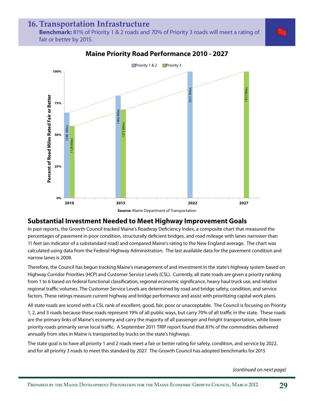#### **16. Transportation Infrastructure**

**Benchmark:** 81% of Priority 1 & 2 roads and 70% of Priority 3 roads will meet a rating of fair or better by 2015.



#### **Maine Priority Road Performance 2010 - 2027**



#### **Substantial Investment Needed to Meet Highway Improvement Goals**

In past reports, the Growth Council tracked Maine's Roadway Deficiency Index, a composite chart that measured the percentages of pavement in poor condition, structurally deficient bridges, and road mileage with lanes narrower than 11 feet (an indicator of a substandard road) and compared Maine's rating to the New England average. The chart was calculated using data from the Federal Highway Administration. The last available data for the pavement condition and narrow lanes is 2008.

Therefore, the Council has begun tracking Maine's management of and investment in the state's highway system based on Highway Corridor Priorities (HCP) and Customer Service Levels (CSL). Currently, all state roads are given a priority ranking from 1 to 6 based on federal functional classification, regional economic significance, heavy haul truck use, and relative regional traffic volumes. The Customer Service Levels are determined by road and bridge safety, condition, and service factors. These ratings measure current highway and bridge performance and assist with prioritizing capital work plans.

All state roads are scored with a CSL rank of excellent, good, fair, poor or unacceptable. The Council is focusing on Priority 1, 2, and 3 roads because these roads represent 19% of all public ways, but carry 70% of all traffic in the state. These roads are the primary links of Maine's economy and carry the majority of all passenger and freight transportation, while lower priority roads primarily serve local traffic. A September 2011 TRIP report found that 81% of the commodities delivered annually from sites in Maine is transported by trucks on the state's highways.

The state goal is to have all priority 1 and 2 roads meet a fair or better rating for safety, condition, and service by 2022, and for all priority 3 roads to meet this standard by 2027. The Growth Council has adopted benchmarks for 2015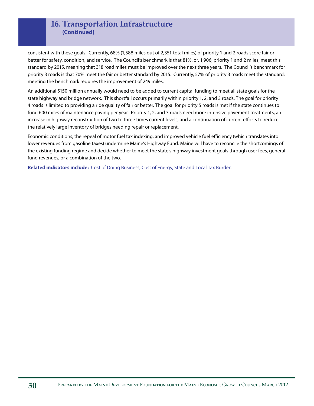#### **16. Transportation Infrastructure (Continued)**

consistent with these goals. Currently, 68% (1,588 miles out of 2,351 total miles) of priority 1 and 2 roads score fair or better for safety, condition, and service. The Council's benchmark is that 81%, or, 1,906, priority 1 and 2 miles, meet this standard by 2015, meaning that 318 road miles must be improved over the next three years. The Council's benchmark for priority 3 roads is that 70% meet the fair or better standard by 2015. Currently, 57% of priority 3 roads meet the standard; meeting the benchmark requires the improvement of 249 miles.

An additional \$150 million annually would need to be added to current capital funding to meet all state goals for the state highway and bridge network. This shortfall occurs primarily within priority 1, 2, and 3 roads. The goal for priority 4 roads is limited to providing a ride quality of fair or better. The goal for priority 5 roads is met if the state continues to fund 600 miles of maintenance paving per year. Priority 1, 2, and 3 roads need more intensive pavement treatments, an increase in highway reconstruction of two to three times current levels, and a continuation of current efforts to reduce the relatively large inventory of bridges needing repair or replacement.

Economic conditions, the repeal of motor fuel tax indexing, and improved vehicle fuel efficiency (which translates into lower revenues from gasoline taxes) undermine Maine's Highway Fund. Maine will have to reconcile the shortcomings of the existing funding regime and decide whether to meet the state's highway investment goals through user fees, general fund revenues, or a combination of the two.

**Related indicators include:** Cost of Doing Business, Cost of Energy, State and Local Tax Burden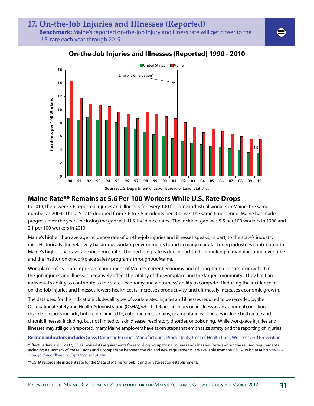# **17. On-the-Job Injuries and Illnesses (Reported)**

**Benchmark:** Maine's reported on-the-job injury and illness rate will get closer to the U.S. rate each year through 2015.



#### **On-the-Job Injuries and Illnesses (Reported) 1990 - 2010**

#### **Maine Rate\*\* Remains at 5.6 Per 100 Workers While U.S. Rate Drops**

In 2010, there were 5.6 reported injuries and illnesses for every 100 full-time industrial workers in Maine, the same number as 2009. The U.S. rate dropped from 3.6 to 3.5 incidents per 100 over the same time period. Maine has made progress over the years in closing the gap with U.S. incidence rates. The incident gap was 5.5 per 100 workers in 1990 and 2.1 per 100 workers in 2010.

Maine's higher than average incidence rate of on-the-job injuries and illnesses speaks, in part, to the state's industry mix. Historically, the relatively hazardous working environments found in many manufacturing industries contributed to Maine's higher-than-average incidence rate. The declining rate is due in part to the shrinking of manufacturing over time and the institution of workplace safety programs throughout Maine.

Workplace safety is an important component of Maine's current economy and of long-term economic growth. Onthe-job injuries and illnesses negatively affect the vitality of the workplace and the larger community. They limit an individual's ability to contribute to the state's economy and a business' ability to compete. Reducing the incidence of on-the-job injuries and illnesses lowers health costs, increases productivity, and ultimately increases economic growth.

The data used for this indicator includes all types of work-related injuries and illnesses required to be recorded by the Occupational Safety and Health Administration (OSHA), which defines an injury or an illness as an abnormal condition or disorder. Injuries include, but are not limited to, cuts, fractures, sprains, or amputations. Illnesses include both acute and chronic illnesses, including, but not limited to, skin disease, respiratory disorder, or poisoning. While workplace injuries and illnesses may still go unreported, many Maine employers have taken steps that emphasize safety and the reporting of injuries.

#### **Related indicators include:** Gross Domestic Product, Manufacturing Productivity, Cost of Health Care, Wellness and Prevention

\*Effective January 1, 2002, OSHA revised its requirements for recording occupational injuries and illnesses. Details about the revised requirements, including a summary of the revisions and a comparison between the old and new requirements, are available from the OSHA web site at http://www. osha.gov/recordkeeping/ppt1/ppt1script.html.

\*\*OSHA recordable incident rate for the State of Maine for public and private sector establishments.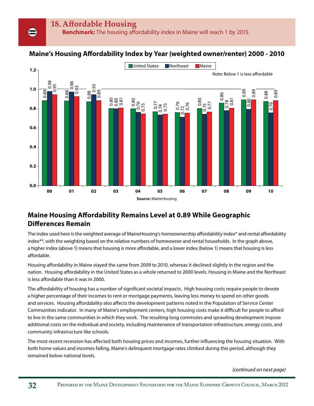#### **Maine's Housing Affordability Index by Year (weighted owner/renter) 2000 - 2010**



#### **Maine Housing Affordability Remains Level at 0.89 While Geographic Differences Remain**

The index used here is the weighted average of MaineHousing's homeownership affordability index\* and rental affordability index\*\*, with the weighting based on the relative numbers of homeowner and rental households. In the graph above, a higher index (above 1) means that housing is more affordable, and a lower index (below 1) means that housing is less affordable.

Housing affordability in Maine stayed the same from 2009 to 2010, whereas it declined slightly in the region and the nation. Housing affordability in the United States as a whole returned to 2000 levels. Housing in Maine and the Northeast is less affordable than it was in 2000.

The affordability of housing has a number of significant societal impacts. High housing costs require people to devote a higher percentage of their incomes to rent or mortgage payments, leaving less money to spend on other goods and services. Housing affordability also affects the development patterns noted in the Population of Service Center Communities indicator. In many of Maine's employment centers, high housing costs make it difficult for people to afford to live in the same communities in which they work. The resulting long commutes and sprawling development impose additional costs on the individual and society, including maintenance of transportation infrastructure, energy costs, and community infrastructure like schools.

The most recent recession has affected both housing prices and incomes, further influencing the housing situation. With both home values and incomes falling, Maine's delinquent mortgage rates climbed during this period, although they remained below national levels.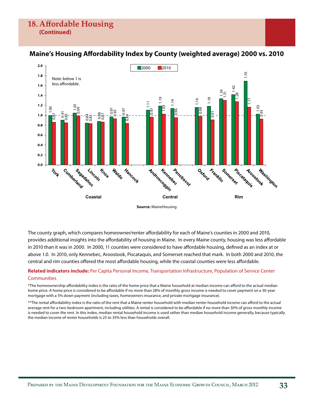

#### **Maine's Housing Affordability Index by County (weighted average) 2000 vs. 2010**

**Source:** MaineHousing

The county graph, which compares homeowner/renter affordability for each of Maine's counties in 2000 and 2010, provides additional insights into the affordability of housing in Maine. In every Maine county, housing was less affordable in 2010 than it was in 2000. In 2000, 11 counties were considered to have affordable housing, defined as an index at or above 1.0. In 2010, only Kennebec, Aroostook, Piscataquis, and Somerset reached that mark. In both 2000 and 2010, the central and rim counties offered the most affordable housing, while the coastal counties were less affordable.

#### **Related indicators include:** Per Capita Personal Income, Transportation Infrastructure, Population of Service Center **Communities**

\*The homeownership affordability index is the ratio of the home price that a Maine household at median income can afford to the actual median home price. A home price is considered to be affordable if no more than 28% of monthly gross income is needed to cover payment on a 30-year mortgage with a 5% down payment (including taxes, homeowners insurance, and private mortgage insurance).

\*\*The rental affordability index is the ratio of the rent that a Maine renter household with median renter household income can afford to the actual average rent for a two-bedroom apartment, including utilities. A rental is considered to be affordable if no more than 30% of gross monthly income is needed to cover the rent. In this index, median rental household income is used rather than median household income generally, because typically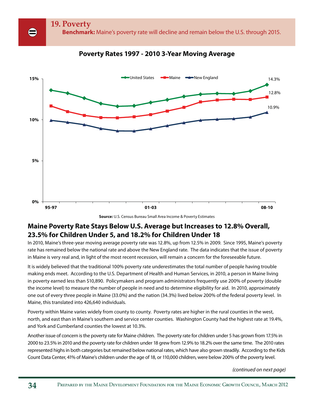

#### **Poverty Rates 1997 - 2010 3-Year Moving Average**



#### **Maine Poverty Rate Stays Below U.S. Average but Increases to 12.8% Overall, 23.5% for Children Under 5, and 18.2% for Children Under 18**

In 2010, Maine's three-year moving average poverty rate was 12.8%, up from 12.5% in 2009. Since 1995, Maine's poverty rate has remained below the national rate and above the New England rate. The data indicates that the issue of poverty in Maine is very real and, in light of the most recent recession, will remain a concern for the foreseeable future.

It is widely believed that the traditional 100% poverty rate underestimates the total number of people having trouble making ends meet. According to the U.S. Department of Health and Human Services, in 2010, a person in Maine living in poverty earned less than \$10,890. Policymakers and program administrators frequently use 200% of poverty (double the income level) to measure the number of people in need and to determine eligibility for aid. In 2010, approximately one out of every three people in Maine (33.0%) and the nation (34.3%) lived below 200% of the federal poverty level. In Maine, this translated into 426,640 individuals.

Poverty within Maine varies widely from county to county. Poverty rates are higher in the rural counties in the west, north, and east than in Maine's southern and service center counties. Washington County had the highest rate at 19.4%, and York and Cumberland counties the lowest at 10.3%.

Another issue of concern is the poverty rate for Maine children. The poverty rate for children under 5 has grown from 17.5% in 2000 to 23.5% in 2010 and the poverty rate for children under 18 grew from 12.9% to 18.2% over the same time. The 2010 rates represented highs in both categories but remained below national rates, which have also grown steadily. According to the Kids Count Data Center, 41% of Maine's children under the age of 18, or 110,000 children, were below 200% of the poverty level.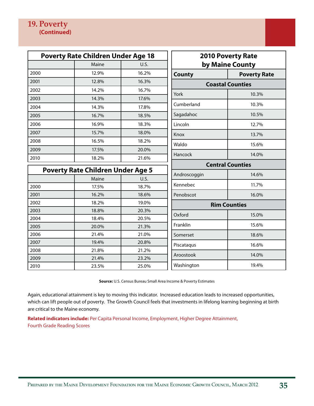| <b>Poverty Rate Children Under Age 18</b> |                                          |       |               | <b>2010 Poverty Rate</b> |  |  |  |
|-------------------------------------------|------------------------------------------|-------|---------------|--------------------------|--|--|--|
|                                           | Maine                                    | U.S.  |               | by Maine County          |  |  |  |
| 2000                                      | 12.9%                                    | 16.2% | <b>County</b> | <b>Poverty Rate</b>      |  |  |  |
| 2001                                      | 12.8%                                    | 16.3% |               | <b>Coastal Counties</b>  |  |  |  |
| 2002                                      | 14.2%                                    | 16.7% | York          | 10.3%                    |  |  |  |
| 2003                                      | 14.3%                                    | 17.6% |               |                          |  |  |  |
| 2004                                      | 14.3%                                    | 17.8% | Cumberland    | 10.3%                    |  |  |  |
| 2005                                      | 16.7%                                    | 18.5% | Sagadahoc     | 10.5%                    |  |  |  |
| 2006                                      | 16.9%                                    | 18.3% | Lincoln       | 12.7%                    |  |  |  |
| 2007                                      | 15.7%                                    | 18.0% | Knox          | 13.7%                    |  |  |  |
| 2008                                      | 16.5%                                    | 18.2% | Waldo         | 15.6%                    |  |  |  |
| 2009                                      | 17.5%                                    | 20.0% | Hancock       | 14.0%                    |  |  |  |
| 2010                                      | 18.2%                                    | 21.6% |               |                          |  |  |  |
|                                           | <b>Poverty Rate Children Under Age 5</b> |       |               | <b>Central Counties</b>  |  |  |  |
|                                           | Maine                                    | U.S.  | Androscoggin  | 14.6%                    |  |  |  |
| 2000                                      | 17.5%                                    | 18.7% | Kennebec      | 11.7%                    |  |  |  |
| 2001                                      | 16.2%                                    | 18.6% | Penobscot     | 16.0%                    |  |  |  |
| 2002                                      | 18.2%                                    | 19.0% |               | <b>Rim Counties</b>      |  |  |  |
| 2003                                      | 18.8%                                    | 20.3% | Oxford        | 15.0%                    |  |  |  |
| 2004                                      | 18.4%                                    | 20.5% |               |                          |  |  |  |
| 2005                                      | 20.0%                                    | 21.3% | Franklin      | 15.6%                    |  |  |  |
| 2006                                      | 21.4%                                    | 21.0% | Somerset      | 18.6%                    |  |  |  |
| 2007                                      | 19.4%                                    | 20.8% | Piscataqus    | 16.6%                    |  |  |  |
| 2008                                      | 21.8%                                    | 21.2% | Aroostook     | 14.0%                    |  |  |  |
| 2009                                      | 21.4%                                    | 23.2% |               |                          |  |  |  |
| 2010                                      | 23.5%                                    | 25.0% | Washington    | 19.4%                    |  |  |  |

**Source:** U.S. Census Bureau Small Area Income & Poverty Estimates

Again, educational attainment is key to moving this indicator. Increased education leads to increased opportunities, which can lift people out of poverty. The Growth Council feels that investments in lifelong learning beginning at birth are critical to the Maine economy.

**Related indicators include:** Per Capita Personal Income, Employment, Higher Degree Attainment, Fourth Grade Reading Scores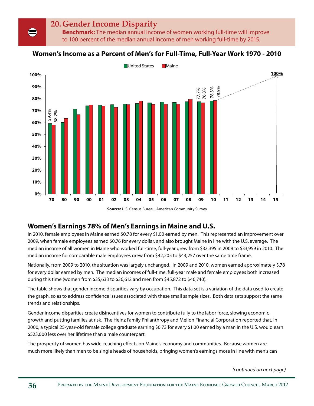# **20. Gender Income Disparity**

**Benchmark:** The median annual income of women working full-time will improve to 100 percent of the median annual income of men working full-time by 2015.

#### **Women's Income as a Percent of Men's for Full-Time, Full-Year Work 1970 - 2010**



**Source:** U.S. Census Bureau, American Community Survey

#### **Women's Earnings 78% of Men's Earnings in Maine and U.S.**

In 2010, female employees in Maine earned \$0.78 for every \$1.00 earned by men. This represented an improvement over 2009, when female employees earned \$0.76 for every dollar, and also brought Maine in line with the U.S. average. The median income of all women in Maine who worked full-time, full-year grew from \$32,395 in 2009 to \$33,959 in 2010. The median income for comparable male employees grew from \$42,205 to \$43,257 over the same time frame.

Nationally, from 2009 to 2010, the situation was largely unchanged. In 2009 and 2010, women earned approximately \$.78 for every dollar earned by men. The median incomes of full-time, full-year male and female employees both increased during this time (women from \$35,633 to \$36,612 and men from \$45,872 to \$46,740).

The table shows that gender income disparities vary by occupation. This data set is a variation of the data used to create the graph, so as to address confidence issues associated with these small sample sizes. Both data sets support the same trends and relationships.

Gender income disparities create disincentives for women to contribute fully to the labor force, slowing economic growth and putting families at risk. The Heinz Family Philanthropy and Mellon Financial Corporation reported that, in 2000, a typical 25-year-old female college graduate earning \$0.73 for every \$1.00 earned by a man in the U.S. would earn \$523,000 less over her lifetime than a male counterpart.

The prosperity of women has wide-reaching effects on Maine's economy and communities. Because women are much more likely than men to be single heads of households, bringing women's earnings more in line with men's can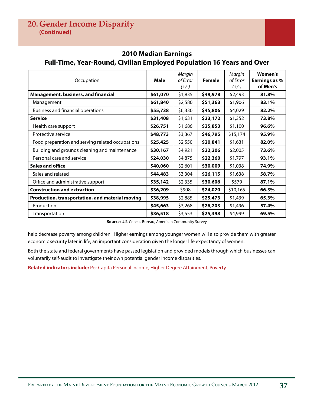#### **2010 Median Earnings Full-Time, Year-Round, Civilian Employed Population 16 Years and Over**

| Occupation                                       | <b>Male</b> | Margin<br>of Error<br>$(+/-)$ | <b>Female</b> | Margin<br>of Error<br>$(+/-)$ | Women's<br>Earnings as %<br>of Men's |
|--------------------------------------------------|-------------|-------------------------------|---------------|-------------------------------|--------------------------------------|
| <b>Management, business, and financial</b>       | \$61,070    | \$1,835                       | \$49,978      | \$2,493                       | 81.8%                                |
| Management                                       | \$61,840    | \$2,580                       | \$51,363      | \$1,906                       | 83.1%                                |
| Business and financial operations                | \$55,738    | \$6,330                       | \$45,806      | \$4,029                       | 82.2%                                |
| <b>Service</b>                                   | \$31,408    | \$1,631                       | \$23,172      | \$1,352                       | 73.8%                                |
| Health care support                              | \$26,751    | \$1,686                       | \$25,853      | \$1,100                       | 96.6%                                |
| Protective service                               | \$48,773    | \$3,367                       | \$46,795      | \$15,174                      | 95.9%                                |
| Food preparation and serving related occupations | \$25,425    | \$2,550                       | \$20,841      | \$1,631                       | 82.0%                                |
| Building and grounds cleaning and maintenance    | \$30,167    | \$4,921                       | \$22,206      | \$2,005                       | 73.6%                                |
| Personal care and service                        | \$24,030    | \$4,875                       | \$22,360      | \$1,797                       | 93.1%                                |
| Sales and office                                 | \$40,060    | \$2,601                       | \$30,009      | \$1,038                       | 74.9%                                |
| Sales and related                                | \$44,483    | \$3,304                       | \$26,115      | \$1,638                       | 58.7%                                |
| Office and administrative support                | \$35,142    | \$2,335                       | \$30,606      | \$579                         | 87.1%                                |
| <b>Construction and extraction</b>               | \$36,209    | \$908                         | \$24,020      | \$10,165                      | 66.3%                                |
| Production, transportation, and material moving  | \$38,995    | \$2,885                       | \$25,473      | \$1,439                       | 65.3%                                |
| Production                                       | \$45,663    | \$3,268                       | \$26,203      | \$1,496                       | 57.4%                                |
| Transportation                                   | \$36,518    | \$3,553                       | \$25,398      | \$4,999                       | 69.5%                                |

**Source:** U.S. Census Bureau, American Community Survey

help decrease poverty among children. Higher earnings among younger women will also provide them with greater economic security later in life, an important consideration given the longer life expectancy of women.

Both the state and federal governments have passed legislation and provided models through which businesses can voluntarily self-audit to investigate their own potential gender income disparities.

**Related indicators include:** Per Capita Personal Income, Higher Degree Attainment, Poverty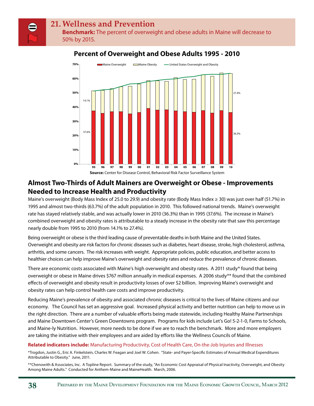**Benchmark:** The percent of overweight and obese adults in Maine will decrease to 50% by 2015.



#### **Percent of Overweight and Obese Adults 1995 - 2010**

**Almost Two-Thirds of Adult Mainers are Overweight or Obese - Improvements Needed to Increase Health and Productivity**

Maine's overweight (Body Mass Index of 25.0 to 29.9) and obesity rate (Body Mass Index ≥ 30) was just over half (51.7%) in 1995 and almost two-thirds (63.7%) of the adult population in 2010. This followed national trends. Maine's overweight rate has stayed relatively stable, and was actually lower in 2010 (36.3%) than in 1995 (37.6%). The increase in Maine's combined overweight and obesity rates is attributable to a steady increase in the obesity rate that saw this percentage nearly double from 1995 to 2010 (from 14.1% to 27.4%).

Being overweight or obese is the third leading cause of preventable deaths in both Maine and the United States. Overweight and obesity are risk factors for chronic diseases such as diabetes, heart disease, stroke, high cholesterol, asthma, arthritis, and some cancers. The risk increases with weight. Appropriate policies, public education, and better access to healthier choices can help improve Maine's overweight and obesity rates and reduce the prevalence of chronic diseases.

There are economic costs associated with Maine's high overweight and obesity rates. A 2011 study\* found that being overweight or obese in Maine drives \$767 million annually in medical expenses. A 2006 study\*\* found that the combined effects of overweight and obesity result in productivity losses of over \$2 billion. Improving Maine's overweight and obesity rates can help control health care costs and improve productivity.

Reducing Maine's prevalence of obesity and associated chronic diseases is critical to the lives of Maine citizens and our economy. The Council has set an aggressive goal. Increased physical activity and better nutrition can help to move us in the right direction. There are a number of valuable efforts being made statewide, including Healthy Maine Partnerships and Maine Downtown Center's Green Downtowns program. Programs for kids include Let's Go! 5-2-1-0, Farms to Schools, and Maine-ly Nutrition. However, more needs to be done if we are to reach the benchmark. More and more employers are taking the initiative with their employees and are aided by efforts like the Wellness Councils of Maine.

#### **Related indicators include:** Manufacturing Productivity, Cost of Health Care, On-the-Job Injuries and Illnesses

\*Trogdon, Justin G., Eric A. Finkelstein, Charles W. Feagan and Joel W. Cohen. "State- and Payer-Specific Estimates of Annual Medical Expenditures Attributable to Obesity." June, 2011.

\*\*Chenowith & Associates, Inc. A Topline Report. Summary of the study, "An Economic Cost Appraisal of Physical Inactivity, Overweight, and Obesity Among Maine Adults." Conducted for Anthem-Maine and MaineHealth. March, 2006.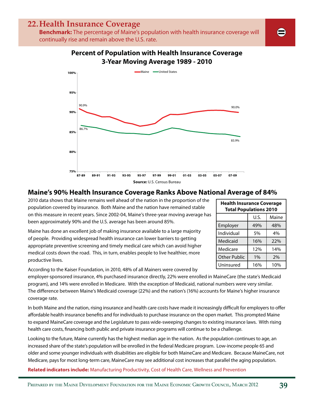## **22. Health Insurance Coverage**

**Benchmark:** The percentage of Maine's population with health insurance coverage will continually rise and remain above the U.S. rate.



#### **Maine's 90% Health Insurance Coverage Ranks Above National Average of 84%**

2010 data shows that Maine remains well ahead of the nation in the proportion of the population covered by insurance. Both Maine and the nation have remained stable on this measure in recent years. Since 2002-04, Maine's three-year moving average has been approximately 90% and the U.S. average has been around 85%.

Maine has done an excellent job of making insurance available to a large majority of people. Providing widespread health insurance can lower barriers to getting appropriate preventive screening and timely medical care which can avoid higher medical costs down the road. This, in turn, enables people to live healthier, more productive lives.

According to the Kaiser Foundation, in 2010, 48% of all Mainers were covered by

employer-sponsored insurance, 4% purchased insurance directly, 22% were enrolled in MaineCare (the state's Medicaid program), and 14% were enrolled in Medicare. With the exception of Medicaid, national numbers were very similar. The difference between Maine's Medicaid coverage (22%) and the nation's (16%) accounts for Maine's higher insurance coverage rate.

In both Maine and the nation, rising insurance and health care costs have made it increasingly difficult for employers to offer affordable health insurance benefits and for individuals to purchase insurance on the open market. This prompted Maine to expand MaineCare coverage and the Legislature to pass wide-sweeping changes to existing insurance laws. With rising health care costs, financing both public and private insurance programs will continue to be a challenge.

Looking to the future, Maine currently has the highest median age in the nation. As the population continues to age, an increased share of the state's population will be enrolled in the federal Medicare program. Low-income people 65 and older and some younger individuals with disabilities are eligible for both MaineCare and Medicare. Because MaineCare, not Medicare, pays for most long-term care, MaineCare may see additional cost increases that parallel the aging population.

**Related indicators include:** Manufacturing Productivity, Cost of Health Care, Wellness and Prevention

| <b>Health Insurance Coverage</b><br><b>Total Populations 2010</b> |      |       |  |  |  |  |
|-------------------------------------------------------------------|------|-------|--|--|--|--|
|                                                                   | U.S. | Maine |  |  |  |  |
| Employer                                                          | 49%  | 48%   |  |  |  |  |
| Individual                                                        | 5%   | 4%    |  |  |  |  |
| Medicaid                                                          | 16%  | 22%   |  |  |  |  |
| Medicare                                                          | 12%  | 14%   |  |  |  |  |
| <b>Other Public</b>                                               | 1%   | 2%    |  |  |  |  |
| Uninsured                                                         | 16%  | 10%   |  |  |  |  |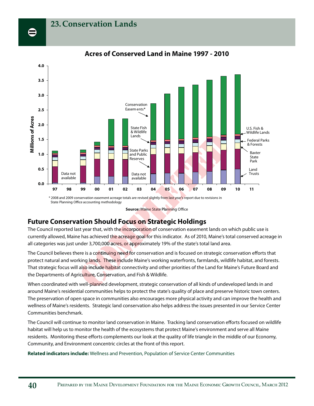

#### **Acres of Conserved Land in Maine 1997 - 2010**

**Source: Maine State Planning Office** 

#### **Future Conservation Should Focus on Strategic Holdings**

The Council reported last year that, with the incorporation of conservation easement lands on which public use is currently allowed, Maine has achieved the acreage goal for this indicator. As of 2010, Maine's total conserved acreage in all categories was just under 3,700,000 acres, or approximately 19% of the state's total land area.

The Council believes there is a co<mark>ntinuing need</mark> for conservation and is focused on strategic conservation efforts that protect natural and working lands. These include Maine's working waterfronts, farmlands, wildlife habitat, and forests. That strategic focus will also include habitat connectivity and other priorities of the Land for Maine's Future Board and the Departments of Agric<mark>ulture, Con</mark>servation, and Fish & Wildlife. 99 00 01 02 03 04 05 06<br>
nservation easement acreage totals are revised slightly from last year's refine accounting methodology<br>
Source: Maine State Planning Office<br>
ation Should Focus on Strategic Ho<br>
st year that, with t

When coordinated with well-<mark>plann</mark>ed development, strategic conservation of all kinds of undeveloped lands in and around Maine's residential communities helps to protect the state's quality of place and preserve historic town centers. The preservation of open space in communities also encourages more physical activity and can improve the health and wellness of Maine's residents. Strategic land conservation also helps address the issues presented in our Service Center Communities benchmark.

The Council will continue to monitor land conservation in Maine. Tracking land conservation efforts focused on wildlife habitat will help us to monitor the health of the ecosystems that protect Maine's environment and serve all Maine residents. Monitoring these efforts complements our look at the quality of life triangle in the middle of our Economy, Community, and Environment concentric circles at the front of this report.

**Related indicators include:** Wellness and Prevention, Population of Service Center Communities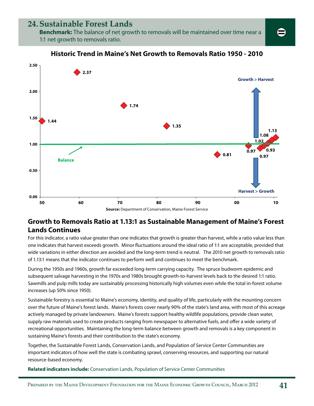## **24. Sustainable Forest Lands**

**Benchmark:** The balance of net growth to removals will be maintained over time near a 1:1 net growth to removals ratio.



#### **Historic Trend in Maine's Net Growth to Removals Ratio 1950 - 2010**

## **Growth to Removals Ratio at 1.13:1 as Sustainable Management of Maine's Forest Lands Continues**

For this indicator, a ratio value greater than one indicates that growth is greater than harvest, while a ratio value less than one indicates that harvest exceeds growth. Minor fluctuations around the ideal ratio of 1:1 are acceptable, provided that wide variations in either direction are avoided and the long-term trend is neutral. The 2010 net growth to removals ratio of 1.13:1 means that the indicator continues to perform well and continues to meet the benchmark.

During the 1950s and 1960s, growth far exceeded long-term carrying capacity. The spruce budworm epidemic and subsequent salvage harvesting in the 1970s and 1980s brought growth-to-harvest levels back to the desired 1:1 ratio. Sawmills and pulp mills today are sustainably processing historically high volumes even while the total in-forest volume increases (up 50% since 1950).

Sustainable forestry is essential to Maine's economy, identity, and quality of life, particularly with the mounting concern over the future of Maine's forest lands. Maine's forests cover nearly 90% of the state's land area, with most of this acreage actively managed by private landowners. Maine's forests support healthy wildlife populations, provide clean water, supply raw materials used to create products ranging from newspaper to alternative fuels, and offer a wide variety of recreational opportunities. Maintaining the long-term balance between growth and removals is a key component in sustaining Maine's forests and their contribution to the state's economy.

Together, the Sustainable Forest Lands, Conservation Lands, and Population of Service Center Communities are important indicators of how well the state is combating sprawl, conserving resources, and supporting our natural resource-based economy.

**Related indicators include:** Conservation Lands, Population of Service Center Communities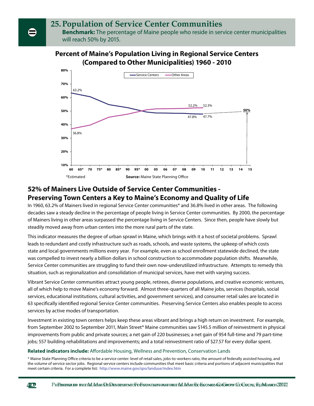# **25. Population of Service Center Communities**

**Benchmark:** The percentage of Maine people who reside in service center municipalities will reach 50% by 2015.

#### **Percent of Maine's Population Living in Regional Service Centers (Compared to Other Municipalities) 1960 - 2010**



#### **52% of Mainers Live Outside of Service Center Communities - Preserving Town Centers a Key to Maine's Economy and Quality of Life**

In 1960, 63.2% of Mainers lived in regional Service Center communities\* and 36.8% lived in other areas. The following decades saw a steady decline in the percentage of people living in Service Center communities. By 2000, the percentage of Mainers living in other areas surpassed the percentage living in Service Centers. Since then, people have slowly but steadily moved away from urban centers into the more rural parts of the state.

This indicator measures the degree of urban sprawl in Maine, which brings with it a host of societal problems. Sprawl leads to redundant and costly infrastructure such as roads, schools, and waste systems, the upkeep of which costs state and local governments millions every year. For example, even as school enrollment statewide declined, the state was compelled to invest nearly a billion dollars in school construction to accommodate population shifts. Meanwhile, Service Center communities are struggling to fund their own now-underutilized infrastructure. Attempts to remedy this situation, such as regionalization and consolidation of municipal services, have met with varying success.

Vibrant Service Center communities attract young people, retirees, diverse populations, and creative economic ventures, all of which help to move Maine's economy forward. Almost three-quarters of all Maine jobs, services (hospitals, social services, educational institutions, cultural activities, and government services), and consumer retail sales are located in 63 specifically identified regional Service Center communities. Preserving Service Centers also enables people to access services by active modes of transportation.

Investment in existing town centers helps keep these areas vibrant and brings a high return on investment. For example, from September 2002 to September 2011, Main Street® Maine communities saw \$145.5 million of reinvestment in physical improvements from public and private sources; a net gain of 220 businesses; a net gain of 954 full-time and 79 part-time jobs; 557 building rehabilitations and improvements; and a total reinvestment ratio of \$27.57 for every dollar spent.

#### **Related indicators include:** Affordable Housing, Wellness and Prevention, Conservation Lands

\* Maine State Planning Office criteria to be a service center: level of retail sales, jobs-to-workers ratio, the amount of federally assisted housing, and the volume of service sector jobs. Regional service centers include communities that meet basic criteria and portions of adjacent municipalities that meet certain criteria. For a complete list: http://www.maine.gov/spo/landuse/index.htm

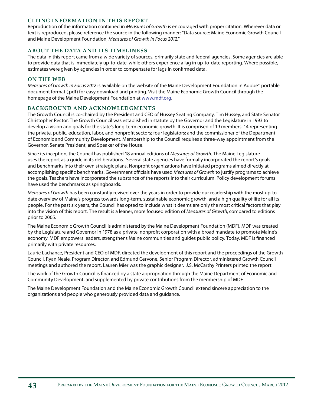#### **CITING INFORMATION IN THIS REPORT**

Reproduction of the information contained in Measures of Growth is encouraged with proper citation. Wherever data or text is reproduced, please reference the source in the following manner: "Data source: Maine Economic Growth Council and Maine Development Foundation, Measures of Growth in Focus 2012."

#### **ABOUT THE DATA AND ITS TIMELINESS**

The data in this report came from a wide variety of sources, primarily state and federal agencies. Some agencies are able to provide data that is immediately up-to-date, while others experience a lag in up-to-date reporting. Where possible, estimates were given by agencies in order to compensate for lags in confirmed data.

#### **ON THE WEB**

Measures of Growth in Focus 2012 is available on the website of the Maine Development Foundation in Adobe® portable document format (.pdf) for easy download and printing. Visit the Maine Economic Growth Council through the homepage of the Maine Development Foundation at www.mdf.org.

#### **BACKGROUND AND ACKNOWLEDGMENTS**

The Growth Council is co-chaired by the President and CEO of Hussey Seating Company, Tim Hussey, and State Senator Christopher Rector. The Growth Council was established in statute by the Governor and the Legislature in 1993 to develop a vision and goals for the state's long-term economic growth. It is comprised of 19 members: 14 representing the private, public, education, labor, and nonprofit sectors; four legislators; and the commissioner of the Department of Economic and Community Development. Membership to the Council requires a three-way appointment from the Governor, Senate President, and Speaker of the House.

Since its inception, the Council has published 18 annual editions of Measures of Growth. The Maine Legislature uses the report as a guide in its deliberations. Several state agencies have formally incorporated the report's goals and benchmarks into their own strategic plans. Nonprofit organizations have initiated programs aimed directly at accomplishing specific benchmarks. Government officials have used Measures of Growth to justify programs to achieve the goals. Teachers have incorporated the substance of the reports into their curriculum. Policy development forums have used the benchmarks as springboards.

Measures of Growth has been constantly revised over the years in order to provide our readership with the most up-todate overview of Maine's progress towards long-term, sustainable economic growth, and a high quality of life for all its people. For the past six years, the Council has opted to include what it deems are only the most critical factors that play into the vision of this report. The result is a leaner, more focused edition of Measures of Growth, compared to editions prior to 2005.

The Maine Economic Growth Council is administered by the Maine Development Foundation (MDF). MDF was created by the Legislature and Governor in 1978 as a private, nonprofit corporation with a broad mandate to promote Maine's economy. MDF empowers leaders, strengthens Maine communities and guides public policy. Today, MDF is financed primarily with private resources.

Laurie Lachance, President and CEO of MDF, directed the development of this report and the proceedings of the Growth Council. Ryan Neale, Program Director, and Edmund Cervone, Senior Program Director, administered Growth Council meetings and authored the report. Lauren Mier was the graphic designer. J.S. McCarthy Printers printed the report.

The work of the Growth Council is financed by a state appropriation through the Maine Department of Economic and Community Development, and supplemented by private contributions from the membership of MDF.

The Maine Development Foundation and the Maine Economic Growth Council extend sincere appreciation to the organizations and people who generously provided data and guidance.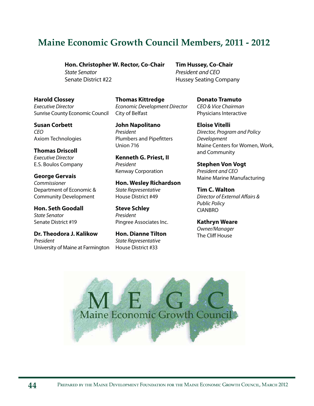# **Maine Economic Growth Council Members, 2011 - 2012**

**Hon. Christopher W. Rector, Co-Chair**

State Senator Senate District #22

**Harold Clossey** Executive Director Sunrise County Economic Council

**Susan Corbett** CEO Axiom Technologies

**Thomas Driscoll** Executive Director E.S. Boulos Company

**George Gervais** Commissioner Department of Economic & Community Development

**Hon. Seth Goodall** State Senator Senate District #19

**Dr. Theodora J. Kalikow** President University of Maine at Farmington

**Thomas Kittredge** Economic Development Director City of Belfast

**John Napolitano** President Plumbers and Pipefitters Union 716

**Kenneth G. Priest, II** President Kenway Corporation

**Hon. Wesley Richardson** State Representative House District #49

**Steve Schley** President Pingree Associates Inc.

**Hon. Dianne Tilton** State Representative House District #33

**Tim Hussey, Co-Chair** President and CEO Hussey Seating Company

> **Donato Tramuto** CEO & Vice Chairman Physicians Interactive

**Eloise Vitelli** Director, Program and Policy Development Maine Centers for Women, Work, and Community

**Stephen Von Vogt** President and CEO Maine Marine Manufacturing

**Tim C. Walton** Director of External Affairs & Public Policy CIANBRO

**Kathryn Weare** Owner/Manager The Cliff House